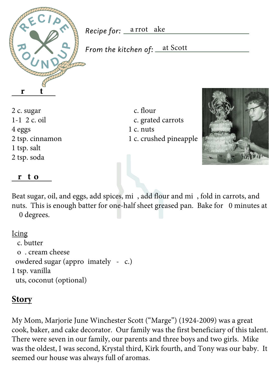

Recipe for: <u>\_a rrot \_ake</u>

From the kitchen of: <u>\_\_at Scott</u>

2 c. sugar c. flour 4 eggs 1 c. nuts 1 tsp. salt 2 tsp. soda

1-1/2 c. oil 3 c. grated carrots 2 tsp. cinnamon 1 c. crushed pineapple



## **Directions**

Beat sugar, oil, and eggs, add spices, mi, add flour and mi, fold in carrots, and nuts. This is enough batter for one-half sheet greased pan. Bake for  $\theta$  minutes at 0 degrees.

## Icing

```
½ c. butter
 3 oz. cream cheese
owdered sugar (appro imately - c.)
1 tsp. vanilla
uts, coconut (optional)
```
## **Story**

My Mom, Marjorie June Winchester Scott ("Marge") (1924-2009) was a great cook, baker, and cake decorator. Our family was the first beneficiary of this talent. There were seven in our family, our parents and three boys and two girls. Mike was the oldest, I was second, Krystal third, Kirk fourth, and Tony was our baby. It seemed our house was always full of aromas.